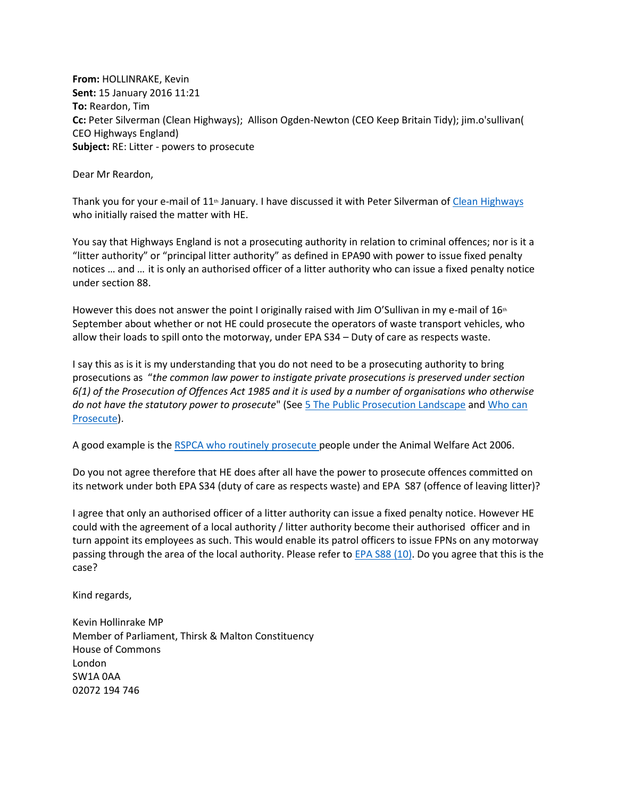**From:** HOLLINRAKE, Kevin **Sent:** 15 January 2016 11:21 **To:** Reardon, Tim **Cc:** Peter Silverman (Clean Highways); Allison Ogden-Newton (CEO Keep Britain Tidy); jim.o'sullivan( CEO Highways England) **Subject:** RE: Litter - powers to prosecute

Dear Mr Reardon,

Thank you for your e-mail of  $11<sup>th</sup>$  January. I have discussed it with Peter Silverman of [Clean Highways](http://www.cleanhighways.co.uk/) who initially raised the matter with HE.

You say that Highways England is not a prosecuting authority in relation to criminal offences; nor is it a "litter authority" or "principal litter authority" as defined in EPA90 with power to issue fixed penalty notices … and … it is only an authorised officer of a litter authority who can issue a fixed penalty notice under section 88.

However this does not answer the point I originally raised with Jim O'Sullivan in my e-mail of  $16<sup>th</sup>$ September about whether or not HE could prosecute the operators of waste transport vehicles, who allow their loads to spill onto the motorway, under EPA S34 – Duty of care as respects waste.

I say this as is it is my understanding that you do not need to be a prosecuting authority to bring prosecutions as "*the common law power to instigate private prosecutions is preserved under section 6(1) of the Prosecution of Offences Act 1985 and it is used by a number of organisations who otherwise do not have the statutory power to prosecute*" (Se[e 5 The Public Prosecution Landscape](http://www.publications.parliament.uk/pa/cm200809/cmselect/cmjust/186/18608.htm) and [Who can](http://www.cleanhighways.co.uk/legislation/who-can-prosecute)  [Prosecute\)](http://www.cleanhighways.co.uk/legislation/who-can-prosecute).

A good example is the [RSPCA who routinely prosecute](http://www.rspca.org.uk/whatwedo/prosecution) people under the Animal Welfare Act 2006.

Do you not agree therefore that HE does after all have the power to prosecute offences committed on its network under both EPA S34 (duty of care as respects waste) and EPA S87 (offence of leaving litter)?

I agree that only an authorised officer of a litter authority can issue a fixed penalty notice. However HE could with the agreement of a local authority / litter authority become their authorised officer and in turn appoint its employees as such. This would enable its patrol officers to issue FPNs on any motorway passing through the area of the local authority. Please refer to [EPA S88 \(10\).](http://www.legislation.gov.uk/ukpga/1990/43/section/88) Do you agree that this is the case?

Kind regards,

Kevin Hollinrake MP Member of Parliament, Thirsk & Malton Constituency House of Commons London SW1A 0AA 02072 194 746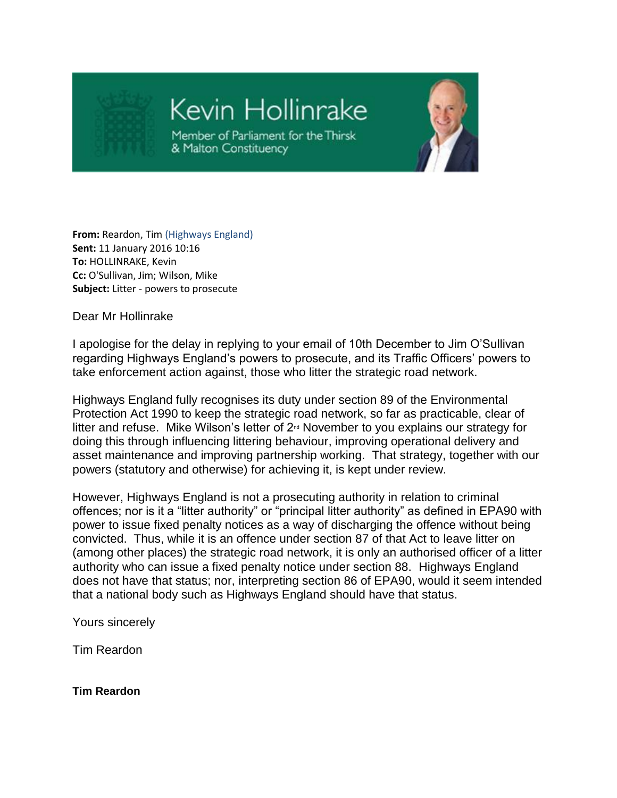

## Kevin Hollinrake

Member of Parliament for the Thirsk & Malton Constituency



**From:** Reardon, Tim (Highways England) **Sent:** 11 January 2016 10:16 **To:** HOLLINRAKE, Kevin **Cc:** O'Sullivan, Jim; Wilson, Mike **Subject:** Litter - powers to prosecute

Dear Mr Hollinrake

I apologise for the delay in replying to your email of 10th December to Jim O'Sullivan regarding Highways England's powers to prosecute, and its Traffic Officers' powers to take enforcement action against, those who litter the strategic road network.

Highways England fully recognises its duty under section 89 of the Environmental Protection Act 1990 to keep the strategic road network, so far as practicable, clear of litter and refuse. Mike Wilson's letter of 2<sup>nd</sup> November to you explains our strategy for doing this through influencing littering behaviour, improving operational delivery and asset maintenance and improving partnership working. That strategy, together with our powers (statutory and otherwise) for achieving it, is kept under review.

However, Highways England is not a prosecuting authority in relation to criminal offences; nor is it a "litter authority" or "principal litter authority" as defined in EPA90 with power to issue fixed penalty notices as a way of discharging the offence without being convicted. Thus, while it is an offence under section 87 of that Act to leave litter on (among other places) the strategic road network, it is only an authorised officer of a litter authority who can issue a fixed penalty notice under section 88. Highways England does not have that status; nor, interpreting section 86 of EPA90, would it seem intended that a national body such as Highways England should have that status.

Yours sincerely

Tim Reardon

**Tim Reardon**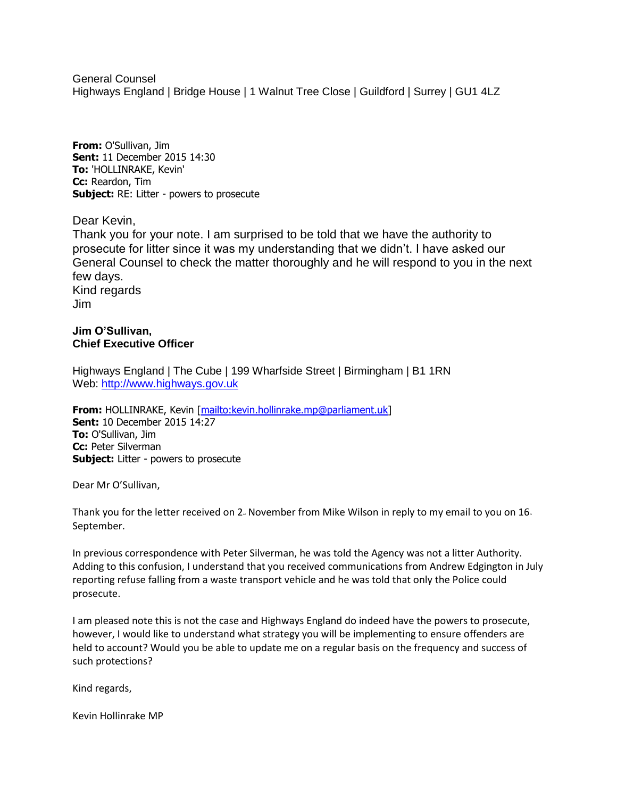General Counsel Highways England | Bridge House | 1 Walnut Tree Close | Guildford | Surrey | GU1 4LZ

**From:** O'Sullivan, Jim **Sent:** 11 December 2015 14:30 **To:** 'HOLLINRAKE, Kevin' **Cc:** Reardon, Tim **Subject:** RE: Litter - powers to prosecute

Dear Kevin,

Thank you for your note. I am surprised to be told that we have the authority to prosecute for litter since it was my understanding that we didn't. I have asked our General Counsel to check the matter thoroughly and he will respond to you in the next few days. Kind regards Jim

## **Jim O'Sullivan, Chief Executive Officer**

Highways England | The Cube | 199 Wharfside Street | Birmingham | B1 1RN Web: [http://www.highways.gov.uk](http://www.highways.gov.uk/)

**From:** HOLLINRAKE, Kevin [\[mailto:kevin.hollinrake.mp@parliament.uk\]](mailto:kevin.hollinrake.mp@parliament.uk) **Sent:** 10 December 2015 14:27 **To:** O'Sullivan, Jim **Cc:** Peter Silverman **Subject:** Litter - powers to prosecute

Dear Mr O'Sullivan,

Thank you for the letter received on 2. November from Mike Wilson in reply to my email to you on  $16<sub>h</sub>$ September.

In previous correspondence with Peter Silverman, he was told the Agency was not a litter Authority. Adding to this confusion, I understand that you received communications from Andrew Edgington in July reporting refuse falling from a waste transport vehicle and he was told that only the Police could prosecute.

I am pleased note this is not the case and Highways England do indeed have the powers to prosecute, however, I would like to understand what strategy you will be implementing to ensure offenders are held to account? Would you be able to update me on a regular basis on the frequency and success of such protections?

Kind regards,

Kevin Hollinrake MP